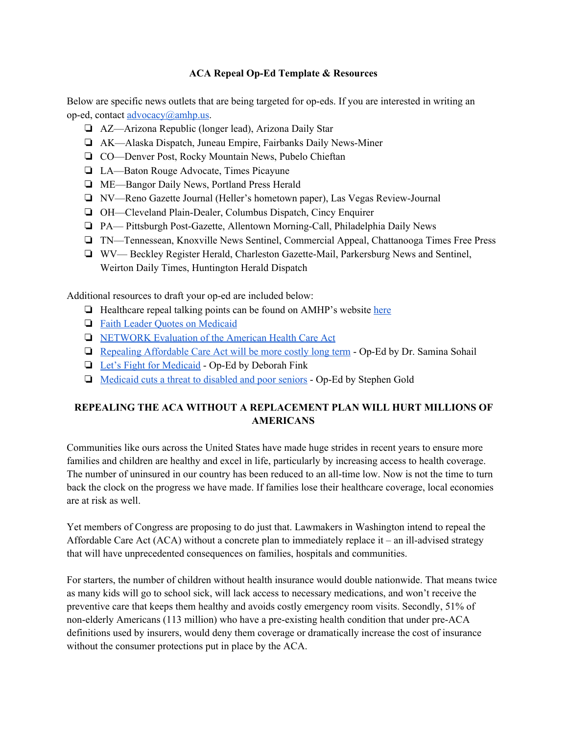## **ACA Repeal Op-Ed Template & Resources**

Below are specific news outlets that are being targeted for op-eds. If you are interested in writing an op-ed, contact [advocacy@amhp.us.](mailto:advocacy@amhp.us)

- ❏ AZ—Arizona Republic (longer lead), Arizona Daily Star
- ❏ AK—Alaska Dispatch, Juneau Empire, Fairbanks Daily News-Miner
- ❏ CO—Denver Post, Rocky Mountain News, Pubelo Chieftan
- ❏ LA—Baton Rouge Advocate, Times Picayune
- ❏ ME—Bangor Daily News, Portland Press Herald
- ❏ NV—Reno Gazette Journal (Heller's hometown paper), Las Vegas Review-Journal
- ❏ OH—Cleveland Plain-Dealer, Columbus Dispatch, Cincy Enquirer
- ❏ PA— Pittsburgh Post-Gazette, Allentown Morning-Call, Philadelphia Daily News
- ❏ TN—Tennessean, Knoxville News Sentinel, Commercial Appeal, Chattanooga Times Free Press
- ❏ WV— Beckley Register Herald, Charleston Gazette-Mail, Parkersburg News and Sentinel, Weirton Daily Times, Huntington Herald Dispatch

Additional resources to draft your op-ed are included below:

- ❏ Healthcare repeal talking points can be found on AMHP's website [here](http://www.amhp.us/wp-content/uploads/2017/06/TalkingPointstoSenators-1.pdf)
- ❏ Faith Leader Quotes on [Medicaid](https://networklobby.org/news/060917healthcare/)
- ❏ [NETWORK](https://networklobby.org/20170307healthcare/) Evaluation of the American Health Care Act
- ❏ Repealing [Affordable](http://www.cincinnati.com/story/opinion/contributors/2017/03/17/repealing-affordable-care-act-more-costly-long-term/99265232/) Care Act will be more costly long term Op-Ed by Dr. Samina Sohail
- ❏ Let's Fight for [Medicaid](http://www.amestrib.com/opinion/20170617/deborah-fink-let8217s-fight-for-medicaid) Op-Ed by Deborah Fink
- ❏ [Medicaid](http://ireader.olivesoftware.com/Olive/iReader/PhiladelphiaInquirer/SharedArticle.ashx?document=PHQP%5C2017%5C01%5C11&article=Ar01502) cuts a threat to disabled and poor seniors Op-Ed by Stephen Gold

## **REPEALING THE ACA WITHOUT A REPLACEMENT PLAN WILL HURT MILLIONS OF AMERICANS**

Communities like ours across the United States have made huge strides in recent years to ensure more families and children are healthy and excel in life, particularly by increasing access to health coverage. The number of uninsured in our country has been reduced to an all-time low. Now is not the time to turn back the clock on the progress we have made. If families lose their healthcare coverage, local economies are at risk as well.

Yet members of Congress are proposing to do just that. Lawmakers in Washington intend to repeal the Affordable Care Act (ACA) without a concrete plan to immediately replace it – an ill-advised strategy that will have unprecedented consequences on families, hospitals and communities.

For starters, the number of children without health insurance would double nationwide. That means twice as many kids will go to school sick, will lack access to necessary medications, and won't receive the preventive care that keeps them healthy and avoids costly emergency room visits. Secondly, 51% of non-elderly Americans (113 million) who have a pre-existing health condition that under pre-ACA definitions used by insurers, would deny them coverage or dramatically increase the cost of insurance without the consumer protections put in place by the ACA.